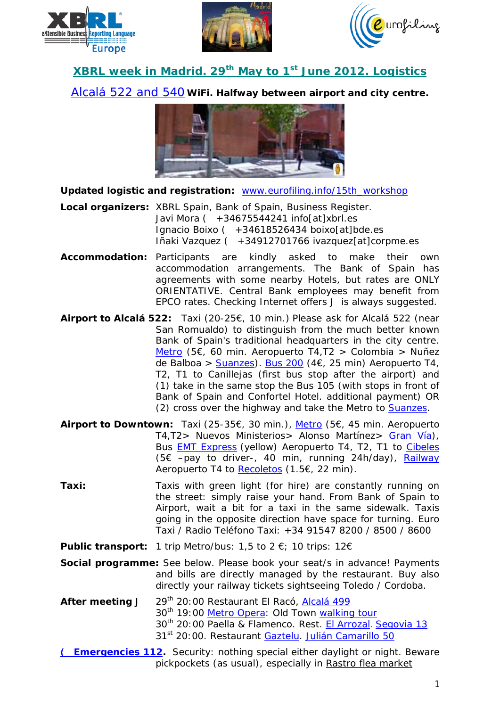





## **XBRL week in Madrid. 29th May to 1st June 2012. Logistics**

[Alcalá 522](http://maps.google.co.uk/maps?q=alcala+522,+madrid&hl=en&ie=UTF8&sll=53.800651,-4.064941&sspn=21.718578,39.506836&hnear=Calle+de+Alcal%C3%A1,+522,+28027+Madrid,+Comunidad+de+Madrid,+Spain&t=m&z=17) and 540 *WiFi. Halfway between airport and city centre.* 



**Updated logistic and registration:** [www.eurofiling.info/15th\\_workshop](http://www.eurofiling.info/15th_workshop)

- **Local organizers:** XBRL Spain, Bank of Spain, Business Register. Javi Mora  $\mathcal{C}$  +34675544241 info[at]xbrl.es Ignacio Boixo ( +34618526434 boixo[at]bde.es Iñaki Vazquez ( +34912701766 ivazquez[at]corpme.es
- **Accommodation:** Participants are kindly asked to make their own accommodation arrangements. The Bank of Spain has agreements with some nearby Hotels, but rates are ONLY ORIENTATIVE. Central Bank employees may benefit from EPCO rates. Checking Internet offers **J** is always suggested.
- **Airport to Alcalá 522:** Taxi (20-25€, 10 min.) Please ask for Alcalá 522 (near San Romualdo) to distinguish from the much better known Bank of Spain's traditional headquarters in the city centre. [Metro](http://www.metromadrid.es/en/viaja_en_metro/trayecto_recomendado/resultado.html?rbOrigen=estacion&idOrigen=808&calle=+Introduce+street+name...&numeroOrigen=n%C2%BA&cmbCiudadOrigen=Madrid&lugar=+Introduce+location...&rbDestino=estacion&idDestino=503&calle2=) (5€, 60 min. Aeropuerto T4,T2 > Colombia > Nuñez de Balboa > [Suanzes\)](http://maps.google.co.uk/maps?saddr=alcala+522,+madrid&daddr=Hotel+Velada+Madrid,+Madrid,+Spain+to:Hotel+Ibis+Madrid+C%2F+Valentin+Beato,+Madrid,+Spain+to:Hotel+Confortel+Alcala+Norte,+Calle+de+San+Romualdo,+Madrid,+Spain+to:Hotel+Etap+Madrid+Valentin+Beat). [Bus 200](http://g.co/maps/74mnt) (4€, 25 min) Aeropuerto T4, T2, T1 to Canillejas (first bus stop after the airport) and *(1)* take in the same stop the Bus 105 (with stops in front of Bank of Spain and Confortel Hotel. additional payment) OR *(2)* cross over the highway and take the Metro to [Suanzes.](http://maps.google.co.uk/maps?saddr=alcala+522,+madrid&daddr=Hotel+Velada+Madrid,+Madrid,+Spain+to:Hotel+Ibis+Madrid+C%2F+Valentin+Beato,+Madrid,+Spain+to:Hotel+Confortel+Alcala+Norte,+Calle+de+San+Romualdo,+Madrid,+Spain+to:Hotel+Etap+Madrid+Valentin+Beat)
- **Airport to Downtown:** Taxi (25-35€, 30 min.), [Metro](http://www.metromadrid.es/en/viaja_en_metro/trayecto_recomendado/resultado.html?rbOrigen=estacion&idOrigen=808&calle=+Introduce+street+name...&numeroOrigen=n%C2%BA&cmbCiudadOrigen=Madrid&lugar=+Introduce+location...&rbDestino=estacion&idDestino=12&calle2=+) (5€, 45 min. Aeropuerto T4,T2> Nuevos Ministerios> Alonso Martínez> [Gran Vía\)](http://maps.google.co.uk/maps?q=metro+near+gran+via,+madrid&hl=en&sll=40.43751,-3.62505&sspn=0.026849,0.065961&hnear=Gran+Via&t=m&z=17), Bus [EMT Express](http://www.emtmadrid.es/lineaAeropuerto/index.html) (yellow) Aeropuerto T4, T2, T1 to [Cibeles](http://maps.google.co.uk/maps?q=paseo+del+prado+1,+madrid&hl=es&ie=UTF8&sll=53.800651,-4.064941&sspn=21.435665,67.543945&hnear=Paseo+del+Prado,+1,+28014+Madrid,+Comunidad+de+Madrid,+Espa%C3%B1a&t=m&z=17) (5€ –pay to driver-, 40 min, running 24h/day), [Railway](http://www.renfe.com/EN/viajeros/cercanias/madrid/index.html) Aeropuerto T4 to [Recoletos](http://maps.google.co.uk/maps?q=paseo+de+recoletos+15,+madrid&hl=es&ie=UTF8&ll=40.419851,-3.692758&spn=0.006714,0.01649&sll=40.421354,-3.69278&sspn=0.006714,0.01649&hnear=Paseo+de+Recoletos,+15,+28004+Madrid,+Comunidad+de+Madrid,+Espa%C3%B1a&t=m&z=17) (1.5€, 22 min).
- **Taxi:** Taxis with green light (*for hire*) are constantly running on the street: simply raise your hand. From Bank of Spain to Airport, wait a bit for a taxi in the same sidewalk. Taxis going in the opposite direction have space for turning. Euro Taxi / Radio Teléfono Taxi: +34 91547 8200 / 8500 / 8600

**Public transport:** 1 trip Metro/bus: 1,5 to 2 €; 10 trips: 12€

- **Social programme:** See below. Please book your seat/s in advance! Payments and bills are directly managed by the restaurant. Buy also directly your railway tickets sightseeing Toledo / Cordoba.
- After meeting J 29<sup>th</sup> 20:00 Restaurant El Racó, [Alcalá 499](http://g.co/maps/aqzj3) 30<sup>th</sup> 19:00 [Metro Opera:](http://g.co/maps/xwwc9) Old Town [walking tour](http://g.co/maps/txr54) 30th 20:00 Paella & Flamenco. Rest. [El Arrozal](http://www.elarrozal.com/). [Segovia 13](http://g.co/maps/ym7ru) 31<sup>st</sup> 20:00. Restaurant [Gaztelu.](http://g.co/maps/gqack) [Julián Camarillo 50](http://g.co/maps/gqack)
- ( **[Emergencies 112.](http://ec.europa.eu/information_society/activities/112/ms/es/index_en.htm)** Security: nothing special either daylight or night. Beware pickpockets (as usual), especially in Rastro flea market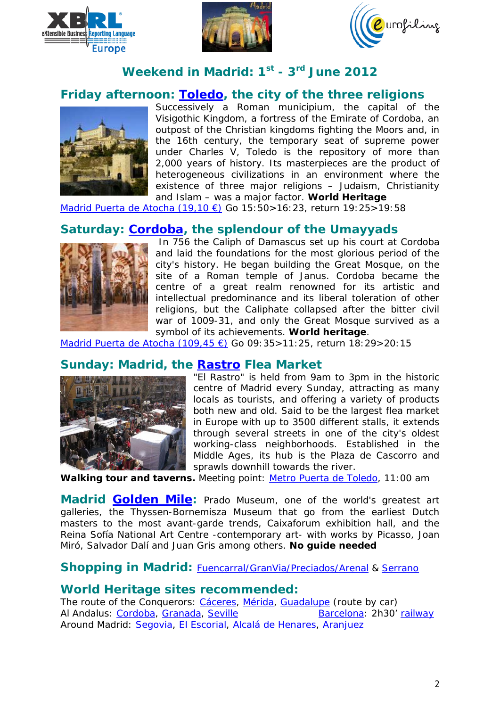





# **Weekend in Madrid: 1st - 3rd June 2012**

## **Friday afternoon: [Toledo,](http://whc.unesco.org/en/list/379) the city of the three religions**



Successively a Roman municipium, the capital of the Visigothic Kingdom, a fortress of the Emirate of Cordoba, an outpost of the Christian kingdoms fighting the Moors and, in the 16th century, the temporary seat of supreme power under Charles V, Toledo is the repository of more than 2,000 years of history. Its masterpieces are the product of heterogeneous civilizations in an environment where the existence of three major religions – Judaism, Christianity and Islam – was a major factor. *World Heritage*

[Madrid Puerta de Atocha \(19,10 €\)](http://www.renfe.com/EN/viajeros/index.html) Go 15:50>16:23, return 19:25>19:58

## **Saturday: [Cordoba,](http://whc.unesco.org/en/list/313) the splendour of the Umayyads**



In 756 the Caliph of Damascus set up his court at Cordoba and laid the foundations for the most glorious period of the city's history. He began building the Great Mosque, on the site of a Roman temple of Janus. Cordoba became the centre of a great realm renowned for its artistic and intellectual predominance and its liberal toleration of other religions, but the Caliphate collapsed after the bitter civil war of 1009-31, and only the Great Mosque survived as a symbol of its achievements. *World heritage*.

[Madrid Puerta de Atocha \(109,45 €\)](http://www.renfe.com/EN/viajeros/index.html) Go 09:35>11:25, return 18:29>20:15

### **Sunday: Madrid, the [Rastro](http://www.gomadrid.com/sights/rastro.html) Flea Market**



"El Rastro" is held from 9am to 3pm in the historic centre of Madrid every Sunday, attracting as many locals as tourists, and offering a variety of products both new and old. Said to be the largest flea market in Europe with up to 3500 different stalls, it extends through several streets in one of the city's oldest working-class neighborhoods. Established in the Middle Ages, its hub is the Plaza de Cascorro and sprawls downhill towards the river.

*Walking tour and taverns.* Meeting point: [Metro Puerta de Toledo,](http://g.co/maps/gubb4) 11:00 am

**Madrid [Golden Mile:](http://g.co/maps/wgzpa)** Prado Museum, one of the world's greatest art galleries, the Thyssen-Bornemisza Museum that go from the earliest Dutch masters to the most avant-garde trends, Caixaforum exhibition hall, and the Reina Sofía National Art Centre -contemporary art- with works by Picasso, Joan Miró, Salvador Dalí and Juan Gris among others. *No guide needed*

**Shopping in Madrid:** [Fuencarral/GranVia/Preciados/Arenal](http://g.co/maps/ctfvh) & [Serrano](http://g.co/maps/4r4cg)

#### **World Heritage sites recommended:**

The route of the Conquerors: [Cáceres,](http://whc.unesco.org/en/list/384) [Mérida,](http://whc.unesco.org/en/list/664) [Guadalupe](http://whc.unesco.org/en/list/665) *(route by car)* Al Andalus: [Cordoba,](http://whc.unesco.org/en/list/313) [Granada,](http://whc.unesco.org/en/list/314) [Seville](http://whc.unesco.org/en/list/383) [Barcelona:](http://whc.unesco.org/en/list/320) 2h30' [railway](http://www.renfe.com/EN/viajeros/index.html) Around Madrid: [Segovia,](http://whc.unesco.org/en/list/311) [El Escorial,](http://whc.unesco.org/en/list/318) [Alcalá de Henares,](http://whc.unesco.org/en/list/876) [Aranjuez](http://whc.unesco.org/en/list/1044)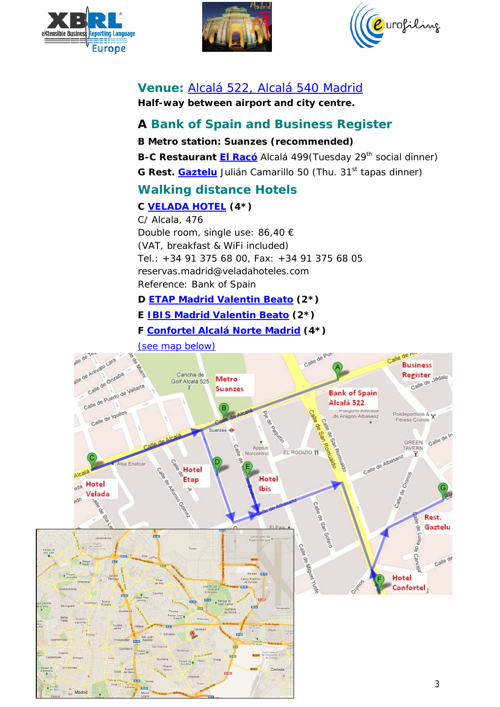





# **Venue:** [Alcalá 522, Alcalá 540](http://maps.google.co.uk/maps?q=alcala+522,+madrid&hl=en&ie=UTF8&sll=53.800651,-4.064941&sspn=21.718578,39.506836&hnear=Calle+de+Alcal%C3%A1,+522,+28027+Madrid,+Comunidad+de+Madrid,+Spain&t=m&z=17) Madrid

*Half-way between airport and city centre.* 

## **A Bank of Spain and Business Register**

**B Metro station: Suanzes (***recommended***) B-C Restaurant [El Racó](http://g.co/maps/aqzj3)** Alcalá 499 (Tuesday 29<sup>th</sup> social dinner) **G** Rest. **[Gaztelu](http://g.co/maps/gqack)** Julián Camarillo 50 (Thu. 31<sup>st</sup> tapas dinner) **Walking distance Hotels C [VELADA HOTEL](http://www.veladahoteles.com/madrid/en) (4\*)** C/ Alcala, 476 Double room, single use: 86,40 € (VAT, breakfast & WiFi included) Tel.: +34 91 375 68 00, Fax: +34 91 375 68 05 reservas.madrid@veladahoteles.com Reference: Bank of Spain

**D [ETAP Madrid Valentin Beato](http://www.accorhotels.com/gb/hotel-5100-etap-madrid-valentin-beato/index.shtml) (2\*)**

**E IBIS [Madrid Valentin Beato](http://www.accorhotels.com/gb/hotel-3312-ibis-madrid-c-valentin-beato/index.shtml) (2\*)**

**F [Confortel Alcalá Norte Madrid](http://www.confortelhoteles.com/en/hotel-alcala-norte-madrid/) (4\*)**



**DSS** 

**Madrid**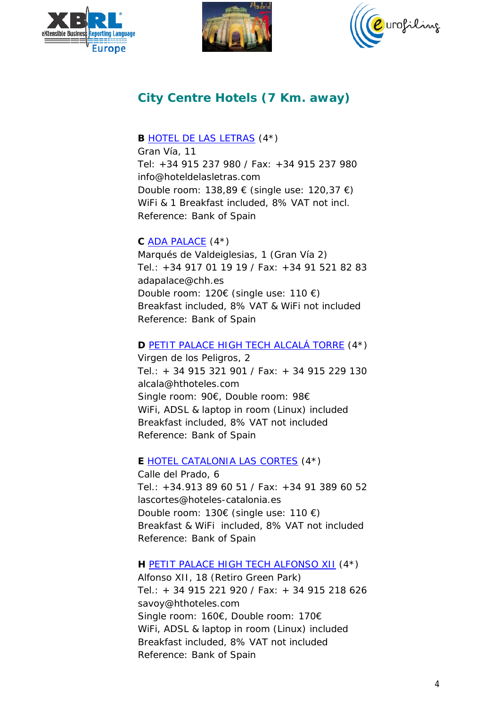





# **City Centre Hotels (7 Km. away)**

#### **B** [HOTEL DE LAS LETRAS](http://www.hoteldelasletras.com/) (4\*)

Gran Vía, 11 Tel: +34 915 237 980 / Fax: +34 915 237 980 info@hoteldelasletras.com Double room: 138,89 € (single use: 120,37 €) WiFi & 1 Breakfast included, 8% VAT not incl. Reference: Bank of Spain

#### **C** [ADA PALACE](http://www.chh.es/ada/) (4\*)

Marqués de Valdeiglesias, 1 (Gran Vía 2) Tel.: +34 917 01 19 19 / Fax: +34 91 521 82 83 adapalace@chh.es Double room: 120€ (single use: 110 €) Breakfast included, 8% VAT & WiFi not included Reference: Bank of Spain

#### **D** [PETIT PALACE HIGH TECH ALCALÁ TORRE](http://www.hthoteles.com/es/hotel-petit-palace-alcala-torre-madrid/) (4\*)

Virgen de los Peligros, 2 Tel.: + 34 915 321 901 / Fax: + 34 915 229 130 alcala@hthoteles.com Single room: 90€, Double room: 98€ WiFi, ADSL & laptop in room (Linux) included Breakfast included, 8% VAT not included Reference: Bank of Spain

#### **E** [HOTEL CATALONIA LAS CORTES](http://www.hoteles-catalonia.com/en/our_hotels/europa/spain/madrid/madrid/hotel_catalonia_las_cortes/index.jsp) (4\*)

Calle del Prado, 6 Tel.: +34.913 89 60 51 / Fax: +34 91 389 60 52 lascortes@hoteles-catalonia.es Double room: 130€ (single use: 110 €) Breakfast & WiFi included, 8% VAT not included Reference: Bank of Spain

#### **H** [PETIT PALACE HIGH TECH ALFONSO XII](http://www.hthoteles.com/en/hotel-petit-palace-alfonso-xii-madrid/) (4\*)

Alfonso XII, 18 (Retiro Green Park) Tel.: + 34 915 221 920 / Fax: + 34 915 218 626 savoy@hthoteles.com Single room: 160€, Double room: 170€ WiFi, ADSL & laptop in room (Linux) included Breakfast included, 8% VAT not included Reference: Bank of Spain